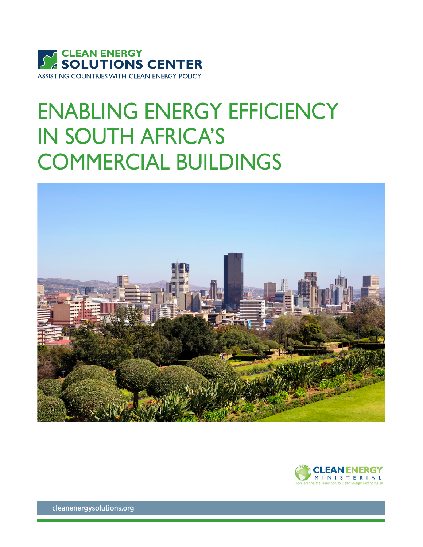

## ENABLING ENERGY EFFICIENCY IN SOUTH AFRICA'S COMMERCIAL BUILDINGS





[cleanenergysolutions.org](http://www.cleanenergysolutions.org)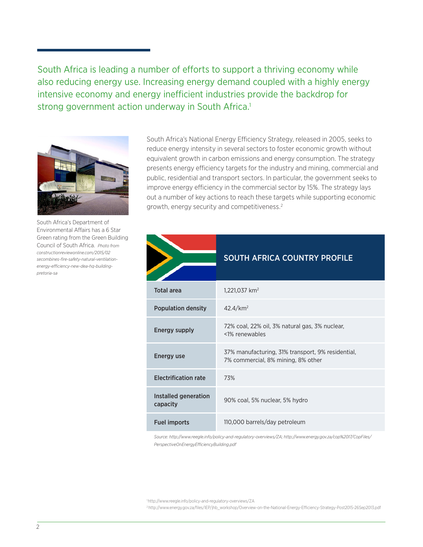South Africa is leading a number of efforts to support a thriving economy while also reducing energy use. Increasing energy demand coupled with a highly energy intensive economy and energy inefficient industries provide the backdrop for strong government action underway in South Africa.<sup>1</sup>



South Africa's Department of Environmental Affairs has a 6 Star Green rating from the Green Building Council of South Africa. *Photo from [constructionreviewonline.com/2015/02](http://constructionreviewonline.com/2015/02/secombines-fire-safety-natural-ventilation-energy-efficiency-n) [secombines-fire-safety-natural-ventilation](http://constructionreviewonline.com/2015/02/secombines-fire-safety-natural-ventilation-energy-efficiency-n)[energy-efficiency-new-dea-hq-building](http://constructionreviewonline.com/2015/02/secombines-fire-safety-natural-ventilation-energy-efficiency-n)[pretoria-sa](http://constructionreviewonline.com/2015/02/secombines-fire-safety-natural-ventilation-energy-efficiency-n)*

South Africa's National Energy Efficiency Strategy, released in 2005, seeks to reduce energy intensity in several sectors to foster economic growth without equivalent growth in carbon emissions and energy consumption. The strategy presents energy efficiency targets for the industry and mining, commercial and public, residential and transport sectors. In particular, the government seeks to improve energy efficiency in the commercial sector by 15%. The strategy lays out a number of key actions to reach these targets while supporting economic growth, energy security and competitiveness.<sup>2</sup>

|                                  | <b>SOUTH AFRICA COUNTRY PROFILE</b>                                                     |
|----------------------------------|-----------------------------------------------------------------------------------------|
| <b>Total area</b>                | 1,221,037 km <sup>2</sup>                                                               |
| <b>Population density</b>        | $42.4$ /km <sup>2</sup>                                                                 |
| <b>Energy supply</b>             | 72% coal, 22% oil, 3% natural gas, 3% nuclear,<br><1% renewables                        |
| <b>Energy use</b>                | 37% manufacturing, 31% transport, 9% residential,<br>7% commercial, 8% mining, 8% other |
| <b>Electrification rate</b>      | 73%                                                                                     |
| Installed generation<br>capacity | 90% coal, 5% nuclear, 5% hydro                                                          |
| <b>Fuel imports</b>              | 110,000 barrels/day petroleum                                                           |

*Source: http://www.reegle.info/policy-and-regulatory-overviews/ZA; http://www.energy.gov.za/cop%2017/CopFiles/ PerspectiveOnEnergyEfficiencyBuilding.pdf* 

1 http://www.reegle.info/policy-and-regulatory-overviews/ZA

2 http://www.energy.gov.za/files/IEP/jhb\_workshop/Overview-on-the-National-Energy-Efficiency-Strategy-Post2015-26Sep2013.pdf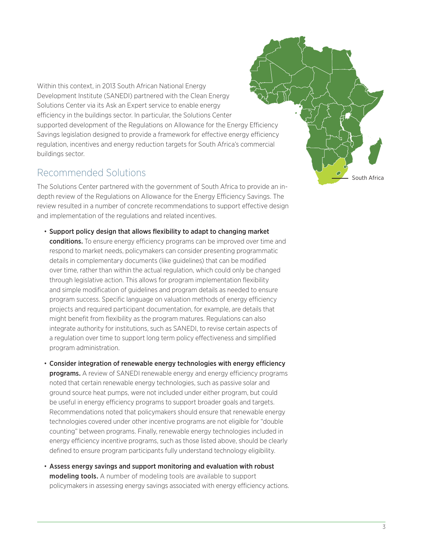Within this context, in 2013 South African National Energy Development Institute (SANEDI) partnered with the Clean Energy Solutions Center via its Ask an Expert service to enable energy efficiency in the buildings sector. In particular, the Solutions Center supported development of the Regulations on Allowance for the Energy Efficiency Savings legislation designed to provide a framework for effective energy efficiency regulation, incentives and energy reduction targets for South Africa's commercial buildings sector.

## Recommended Solutions

The Solutions Center partnered with the government of South Africa to provide an indepth review of the Regulations on Allowance for the Energy Efficiency Savings. The review resulted in a number of concrete recommendations to support effective design and implementation of the regulations and related incentives.

- Support policy design that allows flexibility to adapt to changing market **conditions.** To ensure energy efficiency programs can be improved over time and respond to market needs, policymakers can consider presenting programmatic details in complementary documents (like guidelines) that can be modified over time, rather than within the actual regulation, which could only be changed through legislative action. This allows for program implementation flexibility and simple modification of guidelines and program details as needed to ensure program success. Specific language on valuation methods of energy efficiency projects and required participant documentation, for example, are details that might benefit from flexibility as the program matures. Regulations can also integrate authority for institutions, such as SANEDI, to revise certain aspects of a regulation over time to support long term policy effectiveness and simplified program administration.
- Consider integration of renewable energy technologies with energy efficiency **programs.** A review of SANEDI renewable energy and energy efficiency programs noted that certain renewable energy technologies, such as passive solar and ground source heat pumps, were not included under either program, but could be useful in energy efficiency programs to support broader goals and targets. Recommendations noted that policymakers should ensure that renewable energy technologies covered under other incentive programs are not eligible for "double counting" between programs. Finally, renewable energy technologies included in energy efficiency incentive programs, such as those listed above, should be clearly defined to ensure program participants fully understand technology eligibility.
- Assess energy savings and support monitoring and evaluation with robust modeling tools. A number of modeling tools are available to support policymakers in assessing energy savings associated with energy efficiency actions.

South Africa